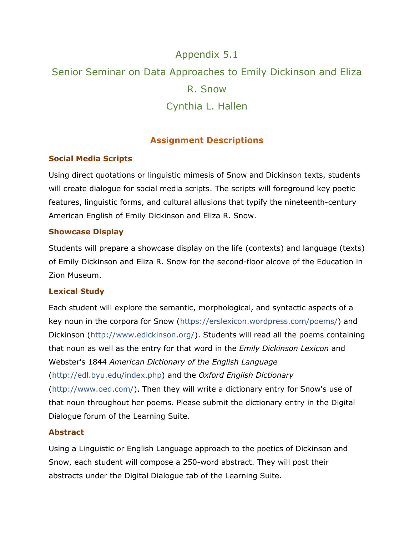# Appendix 5.1 Senior Seminar on Data Approaches to Emily Dickinson and Eliza R. Snow Cynthia L. Hallen

# **Assignment Descriptions**

## **Social Media Scripts**

Using direct quotations or linguistic mimesis of Snow and Dickinson texts, students will create dialogue for social media scripts. The scripts will foreground key poetic features, linguistic forms, and cultural allusions that typify the nineteenth-century American English of Emily Dickinson and Eliza R. Snow.

#### **Showcase Display**

Students will prepare a showcase display on the life (contexts) and language (texts) of Emily Dickinson and Eliza R. Snow for the second-floor alcove of the Education in Zion Museum.

#### **Lexical Study**

Each student will explore the semantic, morphological, and syntactic aspects of a key noun in the corpora for Snow [\(https://erslexicon.wordpress.com/poems/\)](https://erslexicon.wordpress.com/poems/) and Dickinson [\(http://www.edickinson.org/\)](http://www.edickinson.org/). Students will read all the poems containing that noun as well as the entry for that word in the *Emily Dickinson Lexicon* and Webster's 1844 *American Dictionary of the English Language* [\(http://edl.byu.edu/index.php\)](http://edl.byu.edu/index.php) and the *Oxford English Dictionary* [\(http://www.oed.com/\)](http://www.oed.com/). Then they will write a dictionary entry for Snow's use of that noun throughout her poems. Please submit the dictionary entry in the Digital Dialogue forum of the Learning Suite.

#### **Abstract**

Using a Linguistic or English Language approach to the poetics of Dickinson and Snow, each student will compose a 250-word abstract. They will post their abstracts under the Digital Dialogue tab of the Learning Suite.